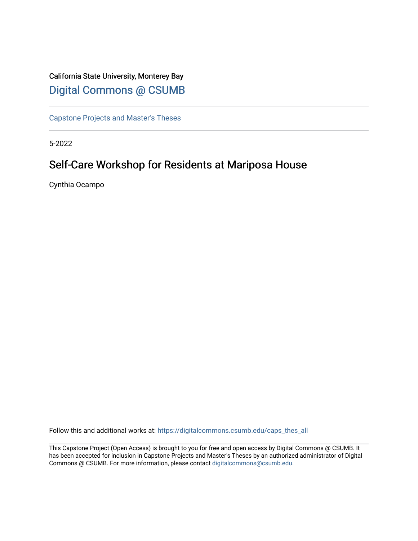# California State University, Monterey Bay [Digital Commons @ CSUMB](https://digitalcommons.csumb.edu/)

[Capstone Projects and Master's Theses](https://digitalcommons.csumb.edu/caps_thes_all)

5-2022

# Self-Care Workshop for Residents at Mariposa House

Cynthia Ocampo

Follow this and additional works at: [https://digitalcommons.csumb.edu/caps\\_thes\\_all](https://digitalcommons.csumb.edu/caps_thes_all?utm_source=digitalcommons.csumb.edu%2Fcaps_thes_all%2F1299&utm_medium=PDF&utm_campaign=PDFCoverPages)

This Capstone Project (Open Access) is brought to you for free and open access by Digital Commons @ CSUMB. It has been accepted for inclusion in Capstone Projects and Master's Theses by an authorized administrator of Digital Commons @ CSUMB. For more information, please contact [digitalcommons@csumb.edu](mailto:digitalcommons@csumb.edu).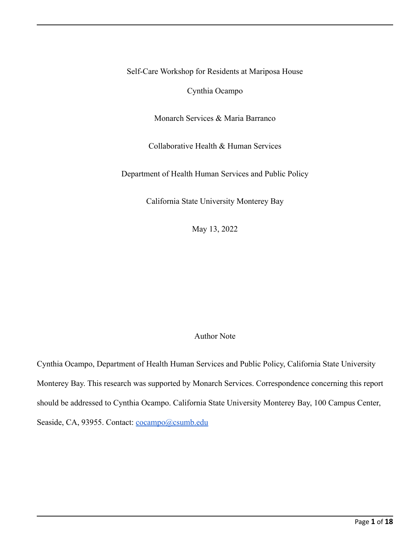Self-Care Workshop for Residents at Mariposa House

Cynthia Ocampo

Monarch Services & Maria Barranco

Collaborative Health & Human Services

Department of Health Human Services and Public Policy

California State University Monterey Bay

May 13, 2022

# Author Note

Cynthia Ocampo, Department of Health Human Services and Public Policy, California State University Monterey Bay. This research was supported by Monarch Services. Correspondence concerning this report should be addressed to Cynthia Ocampo. California State University Monterey Bay, 100 Campus Center, Seaside, CA, 93955. Contact: [cocampo@csumb.edu](mailto:cocampo@csumb.edu)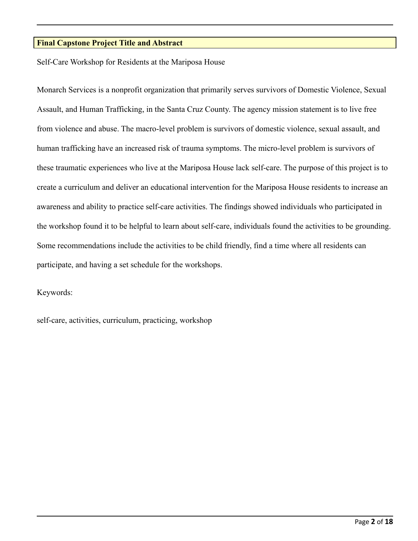# **Final Capstone Project Title and Abstract**

Self-Care Workshop for Residents at the Mariposa House

Monarch Services is a nonprofit organization that primarily serves survivors of Domestic Violence, Sexual Assault, and Human Trafficking, in the Santa Cruz County. The agency mission statement is to live free from violence and abuse. The macro-level problem is survivors of domestic violence, sexual assault, and human trafficking have an increased risk of trauma symptoms. The micro-level problem is survivors of these traumatic experiences who live at the Mariposa House lack self-care. The purpose of this project is to create a curriculum and deliver an educational intervention for the Mariposa House residents to increase an awareness and ability to practice self-care activities. The findings showed individuals who participated in the workshop found it to be helpful to learn about self-care, individuals found the activities to be grounding. Some recommendations include the activities to be child friendly, find a time where all residents can participate, and having a set schedule for the workshops.

Keywords:

self-care, activities, curriculum, practicing, workshop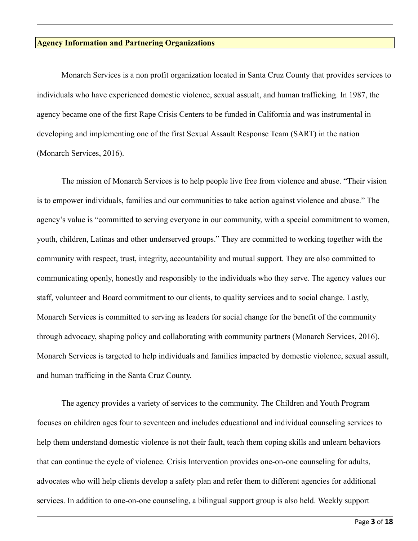#### **Agency Information and Partnering Organizations**

Monarch Services is a non profit organization located in Santa Cruz County that provides services to individuals who have experienced domestic violence, sexual assualt, and human trafficking. In 1987, the agency became one of the first Rape Crisis Centers to be funded in California and was instrumental in developing and implementing one of the first Sexual Assault Response Team (SART) in the nation (Monarch Services, 2016).

The mission of Monarch Services is to help people live free from violence and abuse. "Their vision is to empower individuals, families and our communities to take action against violence and abuse." The agency's value is "committed to serving everyone in our community, with a special commitment to women, youth, children, Latinas and other underserved groups." They are committed to working together with the community with respect, trust, integrity, accountability and mutual support. They are also committed to communicating openly, honestly and responsibly to the individuals who they serve. The agency values our staff, volunteer and Board commitment to our clients, to quality services and to social change. Lastly, Monarch Services is committed to serving as leaders for social change for the benefit of the community through advocacy, shaping policy and collaborating with community partners (Monarch Services, 2016). Monarch Services is targeted to help individuals and families impacted by domestic violence, sexual assult, and human trafficing in the Santa Cruz County.

The agency provides a variety of services to the community. The Children and Youth Program focuses on children ages four to seventeen and includes educational and individual counseling services to help them understand domestic violence is not their fault, teach them coping skills and unlearn behaviors that can continue the cycle of violence. Crisis Intervention provides one-on-one counseling for adults, advocates who will help clients develop a safety plan and refer them to different agencies for additional services. In addition to one-on-one counseling, a bilingual support group is also held. Weekly support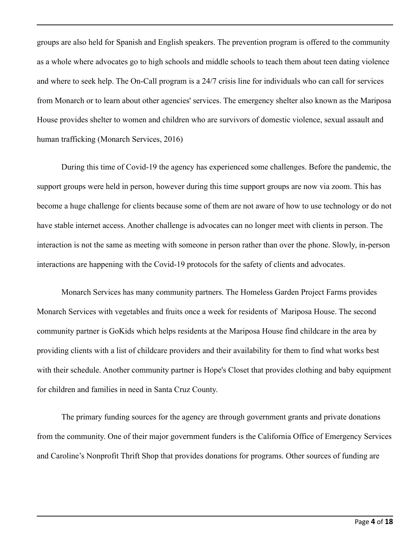groups are also held for Spanish and English speakers. The prevention program is offered to the community as a whole where advocates go to high schools and middle schools to teach them about teen dating violence and where to seek help. The On-Call program is a 24/7 crisis line for individuals who can call for services from Monarch or to learn about other agencies' services. The emergency shelter also known as the Mariposa House provides shelter to women and children who are survivors of domestic violence, sexual assault and human trafficking (Monarch Services, 2016)

During this time of Covid-19 the agency has experienced some challenges. Before the pandemic, the support groups were held in person, however during this time support groups are now via zoom. This has become a huge challenge for clients because some of them are not aware of how to use technology or do not have stable internet access. Another challenge is advocates can no longer meet with clients in person. The interaction is not the same as meeting with someone in person rather than over the phone. Slowly, in-person interactions are happening with the Covid-19 protocols for the safety of clients and advocates.

Monarch Services has many community partners. The Homeless Garden Project Farms provides Monarch Services with vegetables and fruits once a week for residents of Mariposa House. The second community partner is GoKids which helps residents at the Mariposa House find childcare in the area by providing clients with a list of childcare providers and their availability for them to find what works best with their schedule. Another community partner is Hope's Closet that provides clothing and baby equipment for children and families in need in Santa Cruz County.

The primary funding sources for the agency are through government grants and private donations from the community. One of their major government funders is the California Office of Emergency Services and Caroline's Nonprofit Thrift Shop that provides donations for programs. Other sources of funding are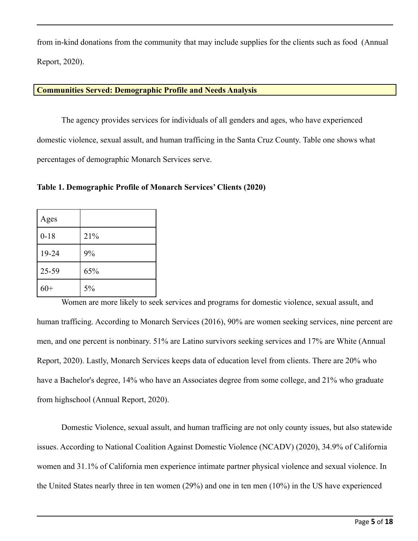from in-kind donations from the community that may include supplies for the clients such as food (Annual Report, 2020).

## **Communities Served: Demographic Profile and Needs Analysis**

The agency provides services for individuals of all genders and ages, who have experienced domestic violence, sexual assult, and human trafficing in the Santa Cruz County. Table one shows what percentages of demographic Monarch Services serve.

**Table 1. Demographic Profile of Monarch Services' Clients (2020)**

| Ages     |     |
|----------|-----|
| $0 - 18$ | 21% |
| 19-24    | 9%  |
| 25-59    | 65% |
| $60+$    | 5%  |

Women are more likely to seek services and programs for domestic violence, sexual assult, and human trafficing. According to Monarch Services (2016), 90% are women seeking services, nine percent are men, and one percent is nonbinary. 51% are Latino survivors seeking services and 17% are White (Annual Report, 2020). Lastly, Monarch Services keeps data of education level from clients. There are 20% who have a Bachelor's degree, 14% who have an Associates degree from some college, and 21% who graduate from highschool (Annual Report, 2020).

Domestic Violence, sexual assult, and human trafficing are not only county issues, but also statewide issues. According to National Coalition Against Domestic Violence (NCADV) (2020), 34.9% of California women and 31.1% of California men experience intimate partner physical violence and sexual violence. In the United States nearly three in ten women (29%) and one in ten men (10%) in the US have experienced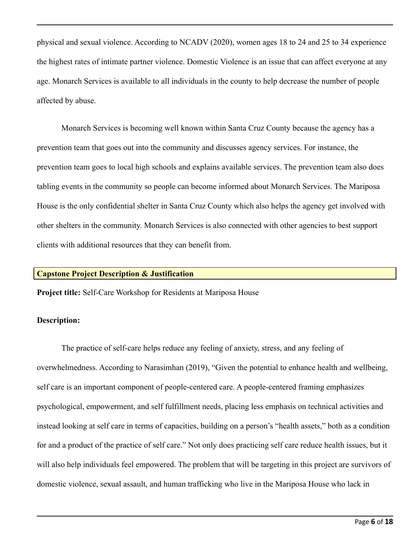physical and sexual violence. According to NCADV (2020), women ages 18 to 24 and 25 to 34 experience the highest rates of intimate partner violence. Domestic Violence is an issue that can affect everyone at any age. Monarch Services is available to all individuals in the county to help decrease the number of people affected by abuse.

Monarch Services is becoming well known within Santa Cruz County because the agency has a prevention team that goes out into the community and discusses agency services. For instance, the prevention team goes to local high schools and explains available services. The prevention team also does tabling events in the community so people can become informed about Monarch Services. The Mariposa House is the only confidential shelter in Santa Cruz County which also helps the agency get involved with other shelters in the community. Monarch Services is also connected with other agencies to best support clients with additional resources that they can benefit from.

#### **Capstone Project Description & Justification**

**Project title:** Self-Care Workshop for Residents at Mariposa House

#### **Description:**

The practice of self-care helps reduce any feeling of anxiety, stress, and any feeling of overwhelmedness. According to Narasimhan (2019), "Given the potential to enhance health and wellbeing, self care is an important component of people-centered care. A people-centered framing emphasizes psychological, empowerment, and self fulfillment needs, placing less emphasis on technical activities and instead looking at self care in terms of capacities, building on a person's "health assets," both as a condition for and a product of the practice of self care." Not only does practicing self care reduce health issues, but it will also help individuals feel empowered. The problem that will be targeting in this project are survivors of domestic violence, sexual assault, and human trafficking who live in the Mariposa House who lack in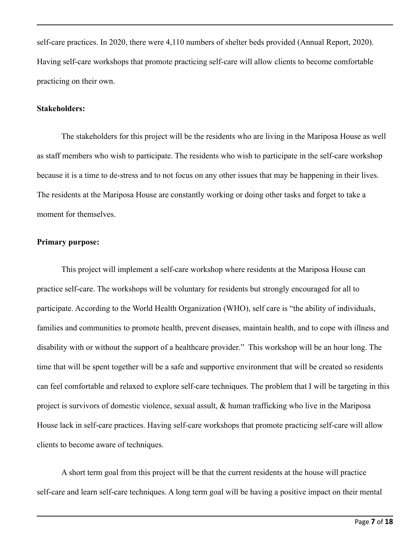self-care practices. In 2020, there were 4,110 numbers of shelter beds provided (Annual Report, 2020). Having self-care workshops that promote practicing self-care will allow clients to become comfortable practicing on their own.

#### **Stakeholders:**

The stakeholders for this project will be the residents who are living in the Mariposa House as well as staff members who wish to participate. The residents who wish to participate in the self-care workshop because it is a time to de-stress and to not focus on any other issues that may be happening in their lives. The residents at the Mariposa House are constantly working or doing other tasks and forget to take a moment for themselves.

#### **Primary purpose:**

This project will implement a self-care workshop where residents at the Mariposa House can practice self-care. The workshops will be voluntary for residents but strongly encouraged for all to participate. According to the World Health Organization (WHO), self care is "the ability of individuals, families and communities to promote health, prevent diseases, maintain health, and to cope with illness and disability with or without the support of a healthcare provider." This workshop will be an hour long. The time that will be spent together will be a safe and supportive environment that will be created so residents can feel comfortable and relaxed to explore self-care techniques. The problem that I will be targeting in this project is survivors of domestic violence, sexual assult, & human trafficking who live in the Mariposa House lack in self-care practices. Having self-care workshops that promote practicing self-care will allow clients to become aware of techniques.

A short term goal from this project will be that the current residents at the house will practice self-care and learn self-care techniques. A long term goal will be having a positive impact on their mental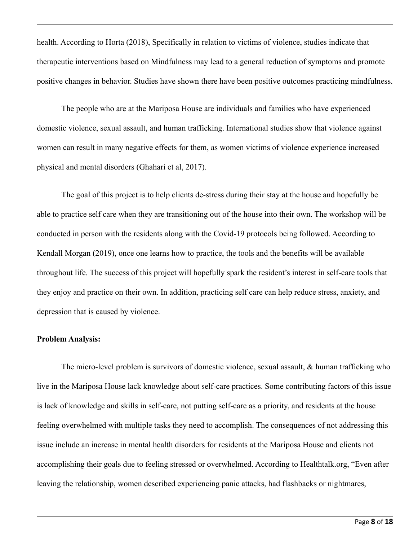health. According to Horta (2018), Specifically in relation to victims of violence, studies indicate that therapeutic interventions based on Mindfulness may lead to a general reduction of symptoms and promote positive changes in behavior. Studies have shown there have been positive outcomes practicing mindfulness.

The people who are at the Mariposa House are individuals and families who have experienced domestic violence, sexual assault, and human trafficking. International studies show that violence against women can result in many negative effects for them, as women victims of violence experience increased physical and mental disorders (Ghahari et al, 2017).

The goal of this project is to help clients de-stress during their stay at the house and hopefully be able to practice self care when they are transitioning out of the house into their own. The workshop will be conducted in person with the residents along with the Covid-19 protocols being followed. According to Kendall Morgan (2019), once one learns how to practice, the tools and the benefits will be available throughout life. The success of this project will hopefully spark the resident's interest in self-care tools that they enjoy and practice on their own. In addition, practicing self care can help reduce stress, anxiety, and depression that is caused by violence.

#### **Problem Analysis:**

The micro-level problem is survivors of domestic violence, sexual assault, & human trafficking who live in the Mariposa House lack knowledge about self-care practices. Some contributing factors of this issue is lack of knowledge and skills in self-care, not putting self-care as a priority, and residents at the house feeling overwhelmed with multiple tasks they need to accomplish. The consequences of not addressing this issue include an increase in mental health disorders for residents at the Mariposa House and clients not accomplishing their goals due to feeling stressed or overwhelmed. According to Healthtalk.org, "Even after leaving the relationship, women described experiencing panic attacks, had flashbacks or nightmares,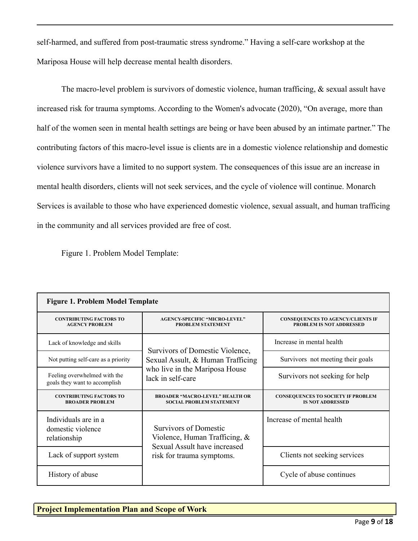self-harmed, and suffered from post-traumatic stress syndrome." Having a self-care workshop at the Mariposa House will help decrease mental health disorders.

The macro-level problem is survivors of domestic violence, human trafficing, & sexual assult have increased risk for trauma symptoms. According to the Women's advocate (2020), "On average, [more than](http://nationalcenterdvtraumamh.org/wp-content/uploads/2012/01/Warshaw-Prevalence-of-IPV-in-MH-Settings.pdf) [half](http://nationalcenterdvtraumamh.org/wp-content/uploads/2012/01/Warshaw-Prevalence-of-IPV-in-MH-Settings.pdf) of the women seen in mental health settings are being or have been abused by an intimate partner." The contributing factors of this macro-level issue is clients are in a domestic violence relationship and domestic violence survivors have a limited to no support system. The consequences of this issue are an increase in mental health disorders, clients will not seek services, and the cycle of violence will continue. Monarch Services is available to those who have experienced domestic violence, sexual assualt, and human trafficing in the community and all services provided are free of cost.

Figure 1. Problem Model Template:

| <b>Figure 1. Problem Model Template</b>                       |                                                                                                  |                                                                             |  |  |  |  |  |
|---------------------------------------------------------------|--------------------------------------------------------------------------------------------------|-----------------------------------------------------------------------------|--|--|--|--|--|
| <b>CONTRIBUTING FACTORS TO</b><br><b>AGENCY PROBLEM</b>       | <b>AGENCY-SPECIFIC "MICRO-LEVEL"</b><br><b>PROBLEM STATEMENT</b>                                 | <b>CONSEQUENCES TO AGENCY/CLIENTS IF</b><br><b>PROBLEM IS NOT ADDRESSED</b> |  |  |  |  |  |
| Lack of knowledge and skills                                  | Survivors of Domestic Violence,                                                                  | Increase in mental health                                                   |  |  |  |  |  |
| Not putting self-care as a priority                           | Sexual Assult, & Human Trafficing                                                                | Survivors not meeting their goals                                           |  |  |  |  |  |
| Feeling overwhelmed with the<br>goals they want to accomplish | who live in the Mariposa House<br>lack in self-care                                              | Survivors not seeking for help                                              |  |  |  |  |  |
| <b>CONTRIBUTING FACTORS TO</b><br><b>BROADER PROBLEM</b>      | <b>BROADER "MACRO-LEVEL" HEALTH OR</b><br><b>SOCIAL PROBLEM STATEMENT</b>                        | <b>CONSEQUENCES TO SOCIETY IF PROBLEM</b><br><b>IS NOT ADDRESSED</b>        |  |  |  |  |  |
| Individuals are in a<br>domestic violence<br>relationship     | <b>Survivors of Domestic</b><br>Violence, Human Trafficing, $\&$<br>Sexual Assult have increased | Increase of mental health                                                   |  |  |  |  |  |
| Lack of support system                                        | risk for trauma symptoms.                                                                        | Clients not seeking services                                                |  |  |  |  |  |
| History of abuse                                              |                                                                                                  | Cycle of abuse continues                                                    |  |  |  |  |  |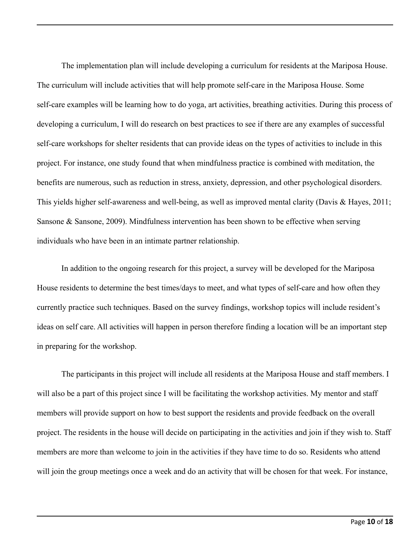The implementation plan will include developing a curriculum for residents at the Mariposa House. The curriculum will include activities that will help promote self-care in the Mariposa House. Some self-care examples will be learning how to do yoga, art activities, breathing activities. During this process of developing a curriculum, I will do research on best practices to see if there are any examples of successful self-care workshops for shelter residents that can provide ideas on the types of activities to include in this project. For instance, one study found that when mindfulness practice is combined with meditation, the benefits are numerous, such as reduction in stress, anxiety, depression, and other psychological disorders. This yields higher self-awareness and well-being, as well as improved mental clarity (Davis & Hayes, 2011; Sansone & Sansone, 2009). Mindfulness intervention has been shown to be effective when serving individuals who have been in an intimate partner relationship.

In addition to the ongoing research for this project, a survey will be developed for the Mariposa House residents to determine the best times/days to meet, and what types of self-care and how often they currently practice such techniques. Based on the survey findings, workshop topics will include resident's ideas on self care. All activities will happen in person therefore finding a location will be an important step in preparing for the workshop.

The participants in this project will include all residents at the Mariposa House and staff members. I will also be a part of this project since I will be facilitating the workshop activities. My mentor and staff members will provide support on how to best support the residents and provide feedback on the overall project. The residents in the house will decide on participating in the activities and join if they wish to. Staff members are more than welcome to join in the activities if they have time to do so. Residents who attend will join the group meetings once a week and do an activity that will be chosen for that week. For instance,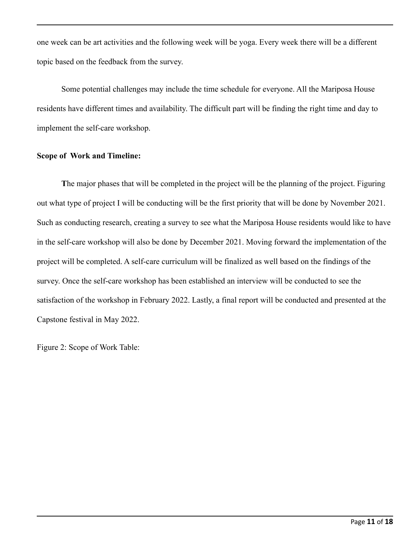one week can be art activities and the following week will be yoga. Every week there will be a different topic based on the feedback from the survey.

Some potential challenges may include the time schedule for everyone. All the Mariposa House residents have different times and availability. The difficult part will be finding the right time and day to implement the self-care workshop.

## **Scope of Work and Timeline:**

**T**he major phases that will be completed in the project will be the planning of the project. Figuring out what type of project I will be conducting will be the first priority that will be done by November 2021. Such as conducting research, creating a survey to see what the Mariposa House residents would like to have in the self-care workshop will also be done by December 2021. Moving forward the implementation of the project will be completed. A self-care curriculum will be finalized as well based on the findings of the survey. Once the self-care workshop has been established an interview will be conducted to see the satisfaction of the workshop in February 2022. Lastly, a final report will be conducted and presented at the Capstone festival in May 2022.

Figure 2: Scope of Work Table: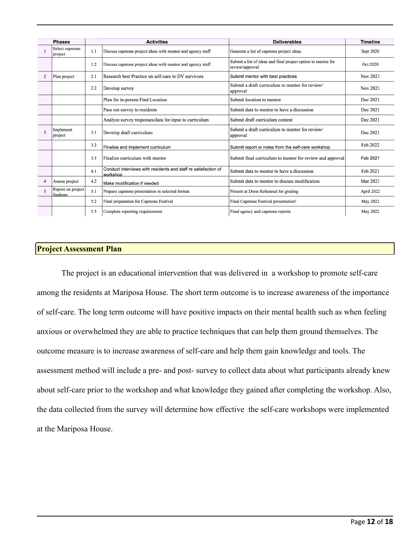|                | <b>Phases</b>                 | <b>Activities</b> |                                                                            | <b>Deliverables</b>                                                              | <b>Timeline</b> |
|----------------|-------------------------------|-------------------|----------------------------------------------------------------------------|----------------------------------------------------------------------------------|-----------------|
|                | Select capstone<br>project    | 1.1               | Discuss capstone project ideas with mentor and agency staff                | Generate a list of capstone project ideas.                                       | Sept 2020       |
|                |                               | 1.2               | Discuss capstone project ideas with mentor and agency staff                | Submit a list of ideas and final project option to mentor for<br>review/approval | Oct 2020        |
| $\overline{2}$ | Plan project                  | 2.1               | Research best Practice on self-care in DV survivors                        | Submit mentor with best practices                                                | Nov 2021        |
|                |                               | 2.2               | Develop survey                                                             | Submit a draft curriculum to mentor for review/<br>approval                      | Nov 2021        |
|                |                               |                   | Plan for in-person Find Location                                           | Submit location to mentor                                                        | Dec 2021        |
|                |                               |                   | Pass out survey to residents                                               | Submit data to mentor to have a discussion                                       | Dec 2021        |
|                |                               |                   | Analyze survey responses/data for input to curriculum                      | Submit draft curriculum content                                                  | Dec 2021        |
| $\mathbf{3}$   | Implement<br>project          | 3.1               | Develop draft curriculum                                                   | Submit a draft curriculum to mentor for review/<br>approval                      | Dec 2021        |
|                |                               | 3.2               | Finalize and implement curriculum                                          | Submit report or notes from the self-care workshop                               | Feb 2022        |
|                |                               | 3.3               | Finalize curriculum with mentor                                            | Submit final curriculum to mentor for review and approval                        | Feb 2021        |
|                |                               | 4.1               | Conduct interviews with residents and staff re satisfaction of<br>workshop | Submit data to mentor to have a discussion                                       | Feb 2021        |
| 4              | Assess project                | 4.2               | Make modification if needed                                                | Submit data to mentor to discuss modification                                    | Mar 2021        |
| 5              | Report on project<br>findings | 5.1               | Prepare capstone presentation in selected format                           | Present at Dress Rehearsal for grading                                           | April 2022      |
|                |                               | 5.2               | Final preparation for Capstone Festival                                    | Final Capstone Festival presentation!                                            | May 2022        |
|                |                               | 5.3               | Complete reporting requirements                                            | Final agency and capstone reports                                                | May 2022        |

#### **Project Assessment Plan**

The project is an educational intervention that was delivered in a workshop to promote self-care among the residents at Mariposa House. The short term outcome is to increase awareness of the importance of self-care. The long term outcome will have positive impacts on their mental health such as when feeling anxious or overwhelmed they are able to practice techniques that can help them ground themselves. The outcome measure is to increase awareness of self-care and help them gain knowledge and tools. The assessment method will include a pre- and post- survey to collect data about what participants already knew about self-care prior to the workshop and what knowledge they gained after completing the workshop. Also, the data collected from the survey will determine how effective the self-care workshops were implemented at the Mariposa House.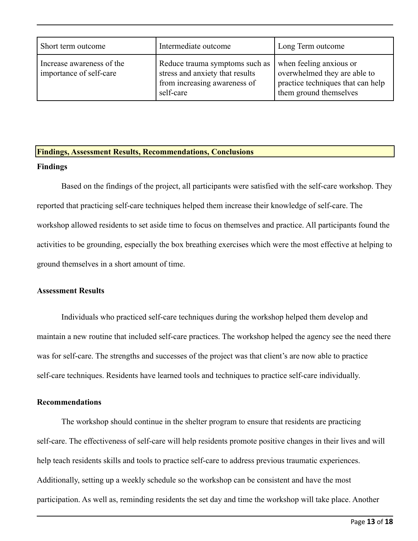| Short term outcome                                   | Intermediate outcome                                                                                           | Long Term outcome                                                                                                      |  |
|------------------------------------------------------|----------------------------------------------------------------------------------------------------------------|------------------------------------------------------------------------------------------------------------------------|--|
| Increase awareness of the<br>importance of self-care | Reduce trauma symptoms such as<br>stress and anxiety that results<br>from increasing awareness of<br>self-care | when feeling anxious or<br>overwhelmed they are able to<br>practice techniques that can help<br>them ground themselves |  |

# **Findings, Assessment Results, Recommendations, Conclusions**

## **Findings**

Based on the findings of the project, all participants were satisfied with the self-care workshop. They reported that practicing self-care techniques helped them increase their knowledge of self-care. The workshop allowed residents to set aside time to focus on themselves and practice. All participants found the activities to be grounding, especially the box breathing exercises which were the most effective at helping to ground themselves in a short amount of time.

## **Assessment Results**

Individuals who practiced self-care techniques during the workshop helped them develop and maintain a new routine that included self-care practices. The workshop helped the agency see the need there was for self-care. The strengths and successes of the project was that client's are now able to practice self-care techniques. Residents have learned tools and techniques to practice self-care individually.

## **Recommendations**

The workshop should continue in the shelter program to ensure that residents are practicing self-care. The effectiveness of self-care will help residents promote positive changes in their lives and will help teach residents skills and tools to practice self-care to address previous traumatic experiences. Additionally, setting up a weekly schedule so the workshop can be consistent and have the most participation. As well as, reminding residents the set day and time the workshop will take place. Another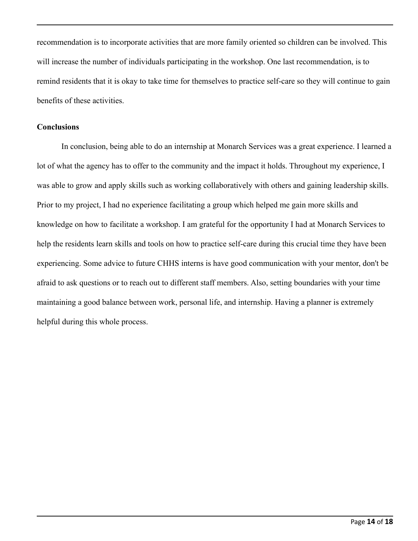recommendation is to incorporate activities that are more family oriented so children can be involved. This will increase the number of individuals participating in the workshop. One last recommendation, is to remind residents that it is okay to take time for themselves to practice self-care so they will continue to gain benefits of these activities.

#### **Conclusions**

In conclusion, being able to do an internship at Monarch Services was a great experience. I learned a lot of what the agency has to offer to the community and the impact it holds. Throughout my experience, I was able to grow and apply skills such as working collaboratively with others and gaining leadership skills. Prior to my project, I had no experience facilitating a group which helped me gain more skills and knowledge on how to facilitate a workshop. I am grateful for the opportunity I had at Monarch Services to help the residents learn skills and tools on how to practice self-care during this crucial time they have been experiencing. Some advice to future CHHS interns is have good communication with your mentor, don't be afraid to ask questions or to reach out to different staff members. Also, setting boundaries with your time maintaining a good balance between work, personal life, and internship. Having a planner is extremely helpful during this whole process.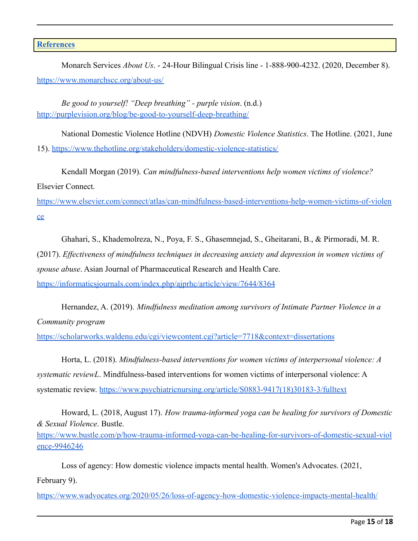## **[References](https://owl.purdue.edu/owl/research_and_citation/apa_style/apa_formatting_and_style_guide/reference_list_basic_rules.html)**

[ence-9946246](https://www.bustle.com/p/how-trauma-informed-yoga-can-be-healing-for-survivors-of-domestic-sexual-violence-9946246)

Monarch Services *About Us*. - 24-Hour Bilingual Crisis line - 1-888-900-4232. (2020, December 8). <https://www.monarchscc.org/about-us/>

*Be good to yourself! "Deep breathing" - purple vision*. (n.d.) <http://purplevision.org/blog/be-good-to-yourself-deep-breathing/>

National Domestic Violence Hotline (NDVH) *Domestic Violence Statistics*. The Hotline. (2021, June 15). <https://www.thehotline.org/stakeholders/domestic-violence-statistics/>

Kendall Morgan (2019). *Can mindfulness-based interventions help women victims of violence?* Elsevier Connect.

[https://www.elsevier.com/connect/atlas/can-mindfulness-based-interventions-help-women-victims-of-violen](https://www.elsevier.com/connect/atlas/can-mindfulness-based-interventions-help-women-victims-of-violence) [ce](https://www.elsevier.com/connect/atlas/can-mindfulness-based-interventions-help-women-victims-of-violence)

Ghahari, S., Khademolreza, N., Poya, F. S., Ghasemnejad, S., Gheitarani, B., & Pirmoradi, M. R. (2017). *Effectiveness of mindfulness techniques in decreasing anxiety and depression in women victims of spouse abuse*. Asian Journal of Pharmaceutical Research and Health Care. <https://informaticsjournals.com/index.php/ajprhc/article/view/7644/8364>

Hernandez, A. (2019). *Mindfulness meditation among survivors of Intimate Partner Violence in a Community program*

<https://scholarworks.waldenu.edu/cgi/viewcontent.cgi?article=7718&context=dissertations>

Horta, L. (2018). *Mindfulness-based interventions for women victims of interpersonal violence: A systematic reviewL*. Mindfulness-based interventions for women victims of interpersonal violence: A systematic review. [https://www.psychiatricnursing.org/article/S0883-9417\(18\)30183-3/fulltext](https://www.psychiatricnursing.org/article/S0883-9417(18)30183-3/fulltext)

Howard, L. (2018, August 17). *How trauma-informed yoga can be healing for survivors of Domestic & Sexual Violence*. Bustle. [https://www.bustle.com/p/how-trauma-informed-yoga-can-be-healing-for-survivors-of-domestic-sexual-viol](https://www.bustle.com/p/how-trauma-informed-yoga-can-be-healing-for-survivors-of-domestic-sexual-violence-9946246)

Loss of agency: How domestic violence impacts mental health. Women's Advocates. (2021, February 9).

<https://www.wadvocates.org/2020/05/26/loss-of-agency-how-domestic-violence-impacts-mental-health/>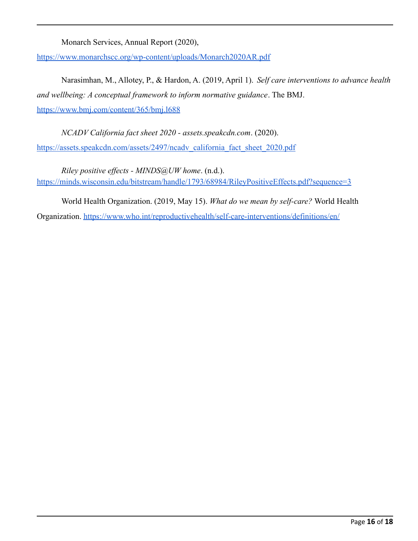Monarch Services, Annual Report (2020),

<https://www.monarchscc.org/wp-content/uploads/Monarch2020AR.pdf>

Narasimhan, M., Allotey, P., & Hardon, A. (2019, April 1). *Self care interventions to advance health and wellbeing: A conceptual framework to inform normative guidance*. The BMJ. <https://www.bmj.com/content/365/bmj.l688>

*NCADV California fact sheet 2020 - assets.speakcdn.com*. (2020). [https://assets.speakcdn.com/assets/2497/ncadv\\_california\\_fact\\_sheet\\_2020.pdf](https://assets.speakcdn.com/assets/2497/ncadv_california_fact_sheet_2020.pdf)

*Riley positive effects - MINDS@UW home*. (n.d.). <https://minds.wisconsin.edu/bitstream/handle/1793/68984/RileyPositiveEffects.pdf?sequence=3>

World Health Organization. (2019, May 15). *What do we mean by self-care?* World Health Organization. <https://www.who.int/reproductivehealth/self-care-interventions/definitions/en/>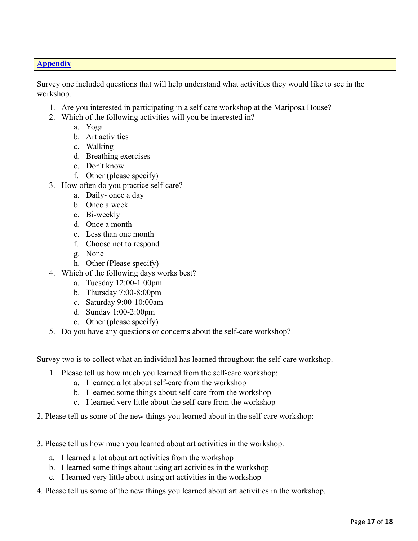# **Appendix**

Survey one included questions that will help understand what activities they would like to see in the workshop.

- 1. Are you interested in participating in a self care workshop at the Mariposa House?
- 2. Which of the following activities will you be interested in?
	- a. Yoga
	- b. Art activities
	- c. Walking
	- d. Breathing exercises
	- e. Don't know
	- f. Other (please specify)
- 3. How often do you practice self-care?
	- a. Daily- once a day
	- b. Once a week
	- c. Bi-weekly
	- d. Once a month
	- e. Less than one month
	- f. Choose not to respond
	- g. None
	- h. Other (Please specify)
- 4. Which of the following days works best?
	- a. Tuesday 12:00-1:00pm
	- b. Thursday 7:00-8:00pm
	- c. Saturday 9:00-10:00am
	- d. Sunday 1:00-2:00pm
	- e. Other (please specify)
- 5. Do you have any questions or concerns about the self-care workshop?

Survey two is to collect what an individual has learned throughout the self-care workshop.

- 1. Please tell us how much you learned from the self-care workshop:
	- a. I learned a lot about self-care from the workshop
	- b. I learned some things about self-care from the workshop
	- c. I learned very little about the self-care from the workshop
- 2. Please tell us some of the new things you learned about in the self-care workshop:
- 3. Please tell us how much you learned about art activities in the workshop.
	- a. I learned a lot about art activities from the workshop
	- b. I learned some things about using art activities in the workshop
	- c. I learned very little about using art activities in the workshop
- 4. Please tell us some of the new things you learned about art activities in the workshop.